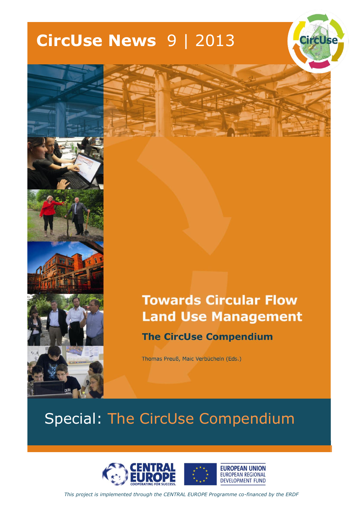# **CircUse News** 9 | 2013





### **Towards Circular Flow Land Use Management The CircUse Compendium**

Thomas Preuß, Maic Verbücheln (Eds.)

## Special: The CircUse Compendium



*This project is implemented through the CENTRAL EUROPE Programme co-financed by the ERDF*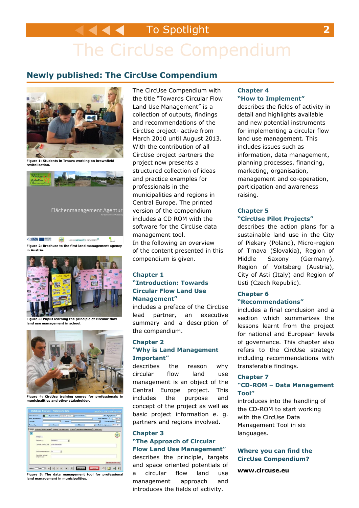### To Spotlight **2**

# The CircUse Compendium

### **Newly published: The CircUse Compendium**



**Figure 1: Students in Trnava working on brownfield revitalisation.**



CHANGE O THE SECRET SERVICE OF THE UNIVERSIDAD SERVICE OF THE UNIVERSIDAD OF THE UNIVERSIDAD OF THE UNIVERSIDAD ٠. **Figure 2: Brochure to the first land management agency in Austria.**



**Figure 3: Pupils learning the principle of circular flow land use management in school.** 



**municipalities and other stakeholder.** 



The CircUse Compendium with the title "Towards Circular Flow Land Use Management" is a collection of outputs, findings and recommendations of the CircUse project- active from March 2010 until August 2013. With the contribution of all CircUse project partners the project now presents a structured collection of ideas and practice examples for professionals in the municipalities and regions in Central Europe. The printed version of the compendium includes a CD ROM with the software for the CircUse data management tool. In the following an overview of the content presented in this compendium is given.

#### **Chapter 1 "Introduction: Towards Circular Flow Land Use Management"**

includes a preface of the CircUse lead partner, an executive summary and a description of the compendium.

#### **Chapter 2 "Why is Land Management Important"**

describes the reason why circular flow land use management is an object of the Central Europe project. This includes the purpose and concept of the project as well as basic project information e. g. partners and regions involved.

#### **Chapter 3 "The Approach of Circular Flow Land Use Management"**

describes the principle, targets and space oriented potentials of a circular flow land use management approach and introduces the fields of activity.

#### **Chapter 4 "How to Implement"**

describes the fields of activity in detail and highlights available and new potential instruments for implementing a circular flow land use management. This includes issues such as information, data management, planning processes, financing, marketing, organisation, management and co-operation, participation and awareness raising.

#### **Chapter 5 "CircUse Pilot Projects"**

describes the action plans for a sustainable land use in the City of Piekary (Poland), Micro-region of Trnava (Slovakia), Region of Middle Saxony (Germany), Region of Voitsberg (Austria), City of Asti (Italy) and Region of Usti (Czech Republic).

#### **Chapter 6 "Recommendations"**

includes a final conclusion and a section which summarizes the lessons learnt from the project for national and European levels of governance. This chapter also refers to the CircUse strategy including recommendations with transferable findings.

#### **Chapter 7**

#### **"CD-ROM – Data Management Tool"**

introduces into the handling of the CD-ROM to start working with the CircUse Data Management Tool in six languages.

#### **Where you can find the CircUse Compendium?**

**www.circuse.eu**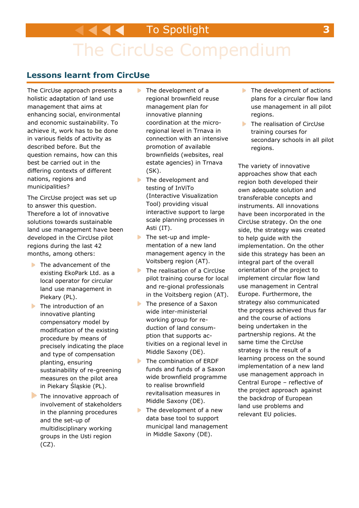# The CircUse Compendium

### **Lessons learnt from CircUse**

The CircUse approach presents a holistic adaptation of land use management that aims at enhancing social, environmental and economic sustainability. To achieve it, work has to be done in various fields of activity as described before. But the question remains, how can this best be carried out in the differing contexts of different nations, regions and municipalities?

The CircUse project was set up to answer this question. Therefore a lot of innovative solutions towards sustainable land use management have been developed in the CircUse pilot regions during the last 42 months, among others:

- The advancement of the existing EkoPark Ltd. as a local operator for circular land use management in Piekary (PL).
- The introduction of an innovative planting compensatory model by modification of the existing procedure by means of precisely indicating the place and type of compensation planting, ensuring sustainability of re-greening measures on the pilot area in Piekary Śląskie (PL).
- The innovative approach of involvement of stakeholders in the planning procedures and the set-up of multidisciplinary working groups in the Usti region (CZ).
- The development of a regional brownfield reuse management plan for innovative planning coordination at the microregional level in Trnava in connection with an intensive promotion of available brownfields (websites, real estate agencies) in Trnava (SK).
- The development and testing of InViTo (Interactive Visualization Tool) providing visual interactive support to large scale planning processes in Asti (IT).
- The set-up and impleы mentation of a new land management agency in the Voitsberg region (AT).
- The realisation of a CircUse pilot training course for local and re-gional professionals in the Voitsberg region (AT).
- The presence of a Saxon  $\blacktriangleright$ wide inter-ministerial working group for reduction of land consumption that supports activities on a regional level in Middle Saxony (DE).
- ь The combination of ERDF funds and funds of a Saxon wide brownfield programme to realise brownfield revitalisation measures in Middle Saxony (DE).
- The development of a new data base tool to support municipal land management in Middle Saxony (DE).
- The development of actions plans for a circular flow land use management in all pilot regions.
- The realisation of CircUse b. training courses for secondary schools in all pilot regions.

The variety of innovative approaches show that each region both developed their own adequate solution and transferable concepts and instruments. All innovations have been incorporated in the CircUse strategy. On the one side, the strategy was created to help guide with the implementation. On the other side this strategy has been an integral part of the overall orientation of the project to implement circular flow land use management in Central Europe. Furthermore, the strategy also communicated the progress achieved thus far and the course of actions being undertaken in the partnership regions. At the same time the CircUse strategy is the result of a learning process on the sound implementation of a new land use management approach in Central Europe – reflective of the project approach against the backdrop of European land use problems and relevant EU policies.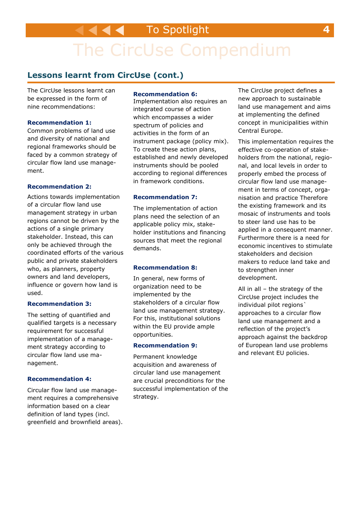To Spotlight **4**

# The CircUse Compendium

### **Lessons learnt from CircUse (cont.)**

The CircUse lessons learnt can be expressed in the form of nine recommendations:

#### **Recommendation 1:**

Common problems of land use and diversity of national and regional frameworks should be faced by a common strategy of circular flow land use management.

#### **Recommendation 2:**

Actions towards implementation of a circular flow land use management strategy in urban regions cannot be driven by the actions of a single primary stakeholder. Instead, this can only be achieved through the coordinated efforts of the various public and private stakeholders who, as planners, property owners and land developers, influence or govern how land is used.

#### **Recommendation 3:**

The setting of quantified and qualified targets is a necessary requirement for successful implementation of a management strategy according to circular flow land use management.

#### **Recommendation 4:**

Circular flow land use management requires a comprehensive information based on a clear definition of land types (incl. greenfield and brownfield areas).

#### **Recommendation 6:**

Implementation also requires an integrated course of action which encompasses a wider spectrum of policies and activities in the form of an instrument package (policy mix). To create these action plans, established and newly developed instruments should be pooled according to regional differences in framework conditions.

#### **Recommendation 7:**

The implementation of action plans need the selection of an applicable policy mix, stakeholder institutions and financing sources that meet the regional demands.

#### **Recommendation 8:**

In general, new forms of organization need to be implemented by the stakeholders of a circular flow land use management strategy. For this, institutional solutions within the EU provide ample opportunities.

#### **Recommendation 9:**

Permanent knowledge acquisition and awareness of circular land use management are crucial preconditions for the successful implementation of the strategy.

The CircUse project defines a new approach to sustainable land use management and aims at implementing the defined concept in municipalities within Central Europe.

This implementation requires the effective co-operation of stakeholders from the national, regional, and local levels in order to properly embed the process of circular flow land use management in terms of concept, organisation and practice Therefore the existing framework and its mosaic of instruments and tools to steer land use has to be applied in a consequent manner. Furthermore there is a need for economic incentives to stimulate stakeholders and decision makers to reduce land take and to strengthen inner development.

All in all – the strategy of the CircUse project includes the individual pilot regions` approaches to a circular flow land use management and a reflection of the project's approach against the backdrop of European land use problems and relevant EU policies.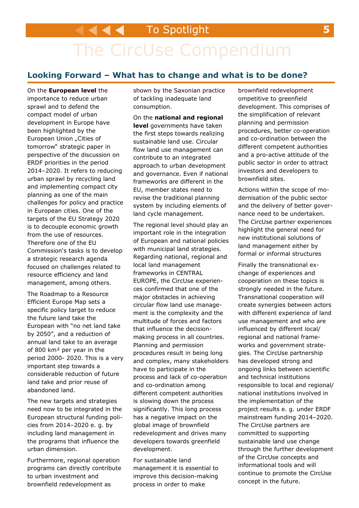# The CircUse Compendium

### **Looking Forward – What has to change and what is to be done?**

On the **European level** the importance to reduce urban sprawl and to defend the compact model of urban development in Europe have been highlighted by the European Union "Cities of tomorrow" strategic paper in perspective of the discussion on ERDF priorities in the period 2014–2020. It refers to reducing urban sprawl by recycling land and implementing compact city planning as one of the main challenges for policy and practice in European cities. One of the targets of the EU Strategy 2020 is to decouple economic growth from the use of resources. Therefore one of the EU Commission's tasks is to develop a strategic research agenda focused on challenges related to resource efficiency and land management, among others.

The Roadmap to a Resource Efficient Europe Map sets a specific policy target to reduce the future land take the European with "no net land take by 2050", and a reduction of annual land take to an average of 800 km² per year in the period 2000- 2020. This is a very important step towards a considerable reduction of future land take and prior reuse of abandoned land.

The new targets and strategies need now to be integrated in the European structural funding policies from 2014–2020 e. g. by including land management in the programs that influence the urban dimension.

Furthermore, regional operation programs can directly contribute to urban investment and brownfield redevelopment as

shown by the Saxonian practice of tackling inadequate land consumption.

On the **national and regional level** governments have taken the first steps towards realizing sustainable land use. Circular flow land use management can contribute to an integrated approach to urban development and governance. Even if national frameworks are different in the EU, member states need to revise the traditional planning system by including elements of land cycle management*.*

The regional level should play an important role in the integration of European and national policies with municipal land strategies. Regarding national, regional and local land management frameworks in CENTRAL EUROPE, the CircUse experiences confirmed that one of the major obstacles in achieving circular flow land use management is the complexity and the multitude of forces and factors that influence the decisionmaking process in all countries. Planning and permission procedures result in being long and complex, many stakeholders have to participate in the process and lack of co-operation and co-ordination among different competent authorities is slowing down the process significantly. This long process has a negative impact on the global image of brownfield redevelopment and drives many developers towards greenfield development.

For sustainable land management it is essential to improve this decision-making process in order to make

brownfield redevelopment ompetitive to greenfield development. This comprises of the simplification of relevant planning and permission procedures, better co-operation and co-ordination between the different competent authorities and a pro-active attitude of the public sector in order to attract investors and developers to brownfield sites.

Actions within the scope of modernisation of the public sector and the delivery of better governance need to be undertaken. The CircUse partner experiences highlight the general need for new institutional solutions of land management either by formal or informal structures

Finally the transnational exchange of experiences and cooperation on these topics is strongly needed in the future. Transnational cooperation will create synergies between actors with different experience of land use management and who are influenced by different local/ regional and national frameworks and government strategies. The CircUse partnership has developed strong and ongoing links between scientific and technical institutions responsible to local and regional/ national institutions involved in the implementation of the project results e. g. under ERDF mainstream funding 2014–2020. The CircUse partners are committed to supporting sustainable land use change through the further development of the CircUse concepts and informational tools and will continue to promote the CircUse concept in the future.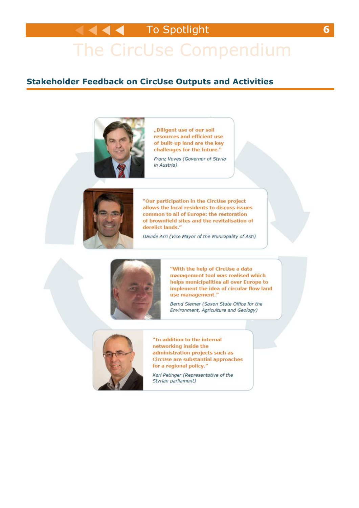# The CircUse Compendium

### **Stakeholder Feedback on CircUse Outputs and Activities**



"Diligent use of our soil resources and efficient use of built-up land are the key challenges for the future."

Franz Voves (Governor of Styria in Austria)



"Our participation in the CircUse project allows the local residents to discuss issues common to all of Europe: the restoration of brownfield sites and the revitalisation of derelict lands."

Davide Arri (Vice Mayor of the Municipality of Asti)



"With the help of CircUse a data management tool was realised which helps municipalities all over Europe to implement the idea of circular flow land use management."

Bernd Siemer (Saxon State Office for the Environment, Agriculture and Geology)



"In addition to the internal networking inside the administration projects such as CircUse are substantial approaches for a regional policy."

Karl Petinger (Representative of the Styrian parliament)